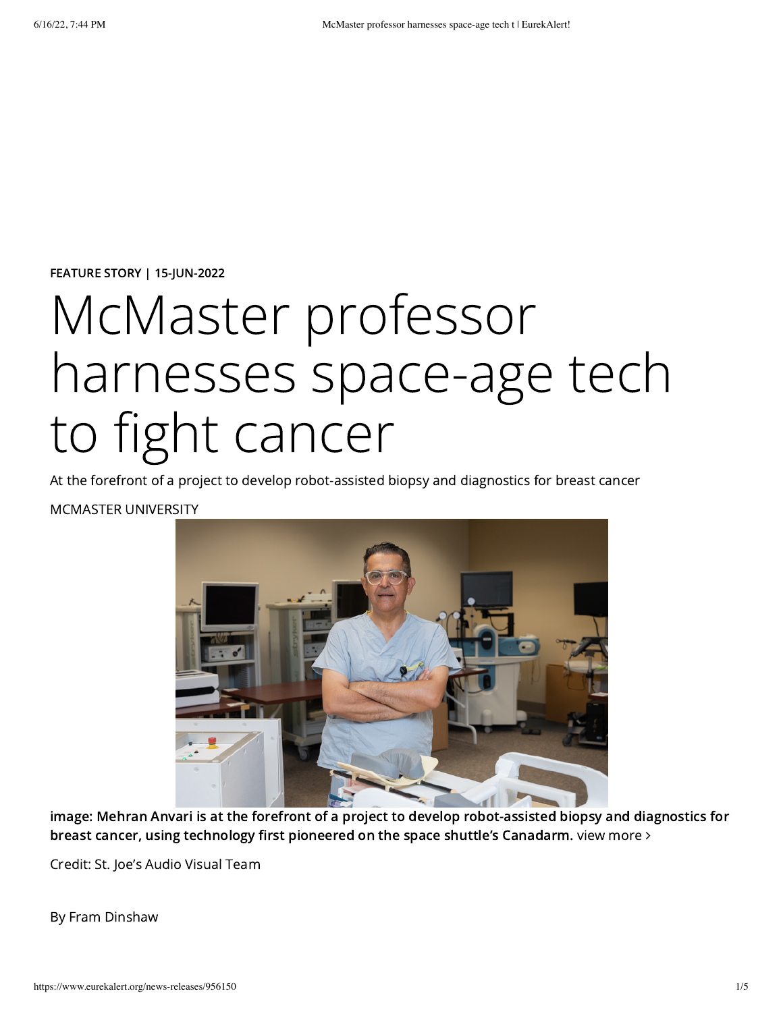FEATURE STORY | 15-JUN-2022

## McMaster professor harnesses space-age tech to fight cancer

At the forefront of a project to develop robot-assisted biopsy and diagnostics for breast cancer

## MCMASTER UNIVERSITY



image: Mehran Anvari is at the forefront of a project to develop robot-assisted biopsy and diagnostics for breast cancer, using technology first pioneered on the space shuttle's Canadarm. view [more](https://www.eurekalert.org/multimedia/938560) >

Credit: St. Joe's Audio Visual Team

By Fram Dinshaw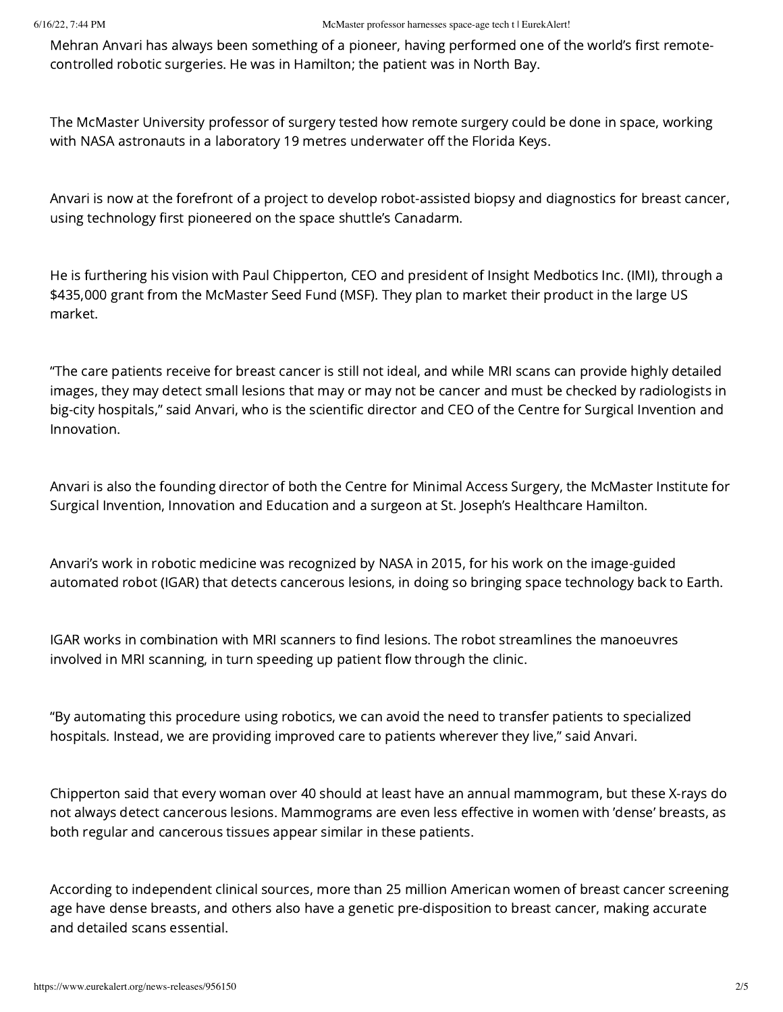Mehran Anvari has always been something of a pioneer, having performed one of the world's first remotecontrolled robotic surgeries. He was in Hamilton; the patient was in North Bay.

The McMaster University professor of surgery tested how remote surgery could be done in space, working with NASA astronauts in a laboratory 19 metres underwater off the Florida Keys.

Anvari is now at the forefront of a project to develop robot-assisted biopsy and diagnostics for breast cancer, using technology first pioneered on the space shuttle's Canadarm.

He is furthering his vision with Paul Chipperton, CEO and president of Insight Medbotics Inc. (IMI), through a \$435,000 grant from the McMaster Seed Fund (MSF). They plan to market their product in the large US market.

"The care patients receive for breast cancer is still not ideal, and while MRI scans can provide highly detailed images, they may detect small lesions that may or may not be cancer and must be checked by radiologists in big-city hospitals," said Anvari, who is the scientific director and CEO of the Centre for Surgical Invention and Innovation.

Anvari is also the founding director of both the Centre for Minimal Access Surgery, the McMaster Institute for Surgical Invention, Innovation and Education and a surgeon at St. Joseph's Healthcare Hamilton.

Anvari's work in robotic medicine was recognized by NASA in 2015, for his work on the image-guided automated robot (IGAR) that detects cancerous lesions, in doing so bringing space technology back to Earth.

IGAR works in combination with MRI scanners to find lesions. The robot streamlines the manoeuvres involved in MRI scanning, in turn speeding up patient flow through the clinic.

"By automating this procedure using robotics, we can avoid the need to transfer patients to specialized hospitals. Instead, we are providing improved care to patients wherever they live," said Anvari.

Chipperton said that every woman over 40 should at least have an annual mammogram, but these X-rays do not always detect cancerous lesions. Mammograms are even less effective in women with 'dense' breasts, as both regular and cancerous tissues appear similar in these patients.

According to independent clinical sources, more than 25 million American women of breast cancer screening age have dense breasts, and others also have a genetic pre-disposition to breast cancer, making accurate and detailed scans essential.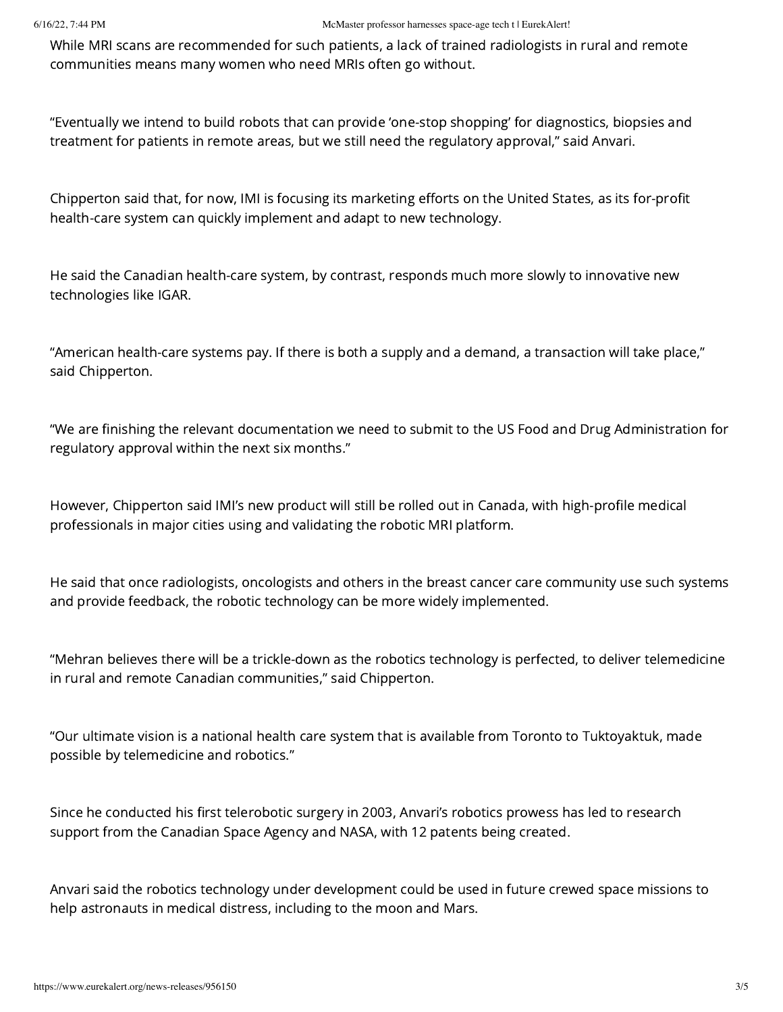While MRI scans are recommended for such patients, a lack of trained radiologists in rural and remote communities means many women who need MRIs often go without.

"Eventually we intend to build robots that can provide 'one-stop shopping' for diagnostics, biopsies and treatment for patients in remote areas, but we still need the regulatory approval," said Anvari.

Chipperton said that, for now, IMI is focusing its marketing efforts on the United States, as its for-profit health-care system can quickly implement and adapt to new technology.

He said the Canadian health-care system, by contrast, responds much more slowly to innovative new technologies like IGAR.

"American health-care systems pay. If there is both a supply and a demand, a transaction will take place," said Chipperton.

"We are finishing the relevant documentation we need to submit to the US Food and Drug Administration for regulatory approval within the next six months."

However, Chipperton said IMI's new product will still be rolled out in Canada, with high-profile medical professionals in major cities using and validating the robotic MRI platform.

He said that once radiologists, oncologists and others in the breast cancer care community use such systems and provide feedback, the robotic technology can be more widely implemented.

"Mehran believes there will be a trickle-down as the robotics technology is perfected, to deliver telemedicine in rural and remote Canadian communities," said Chipperton.

"Our ultimate vision is a national health care system that is available from Toronto to Tuktoyaktuk, made possible by telemedicine and robotics."

Since he conducted his first telerobotic surgery in 2003, Anvari's robotics prowess has led to research support from the Canadian Space Agency and NASA, with 12 patents being created.

Anvari said the robotics technology under development could be used in future crewed space missions to help astronauts in medical distress, including to the moon and Mars.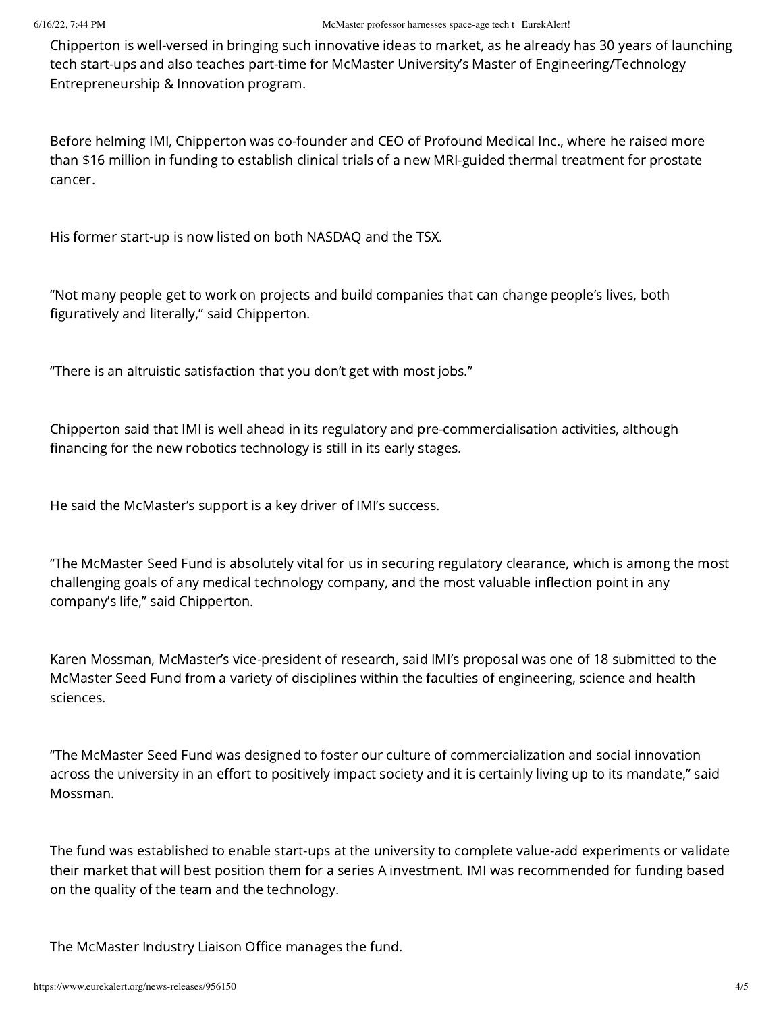Chipperton is well-versed in bringing such innovative ideas to market, as he already has 30 years of launching tech start-ups and also teaches part-time for McMaster University's Master of Engineering/Technology Entrepreneurship & Innovation program.

Before helming IMI, Chipperton was co-founder and CEO of Profound Medical Inc., where he raised more than \$16 million in funding to establish clinical trials of a new MRI-guided thermal treatment for prostate cancer.

His former start-up is now listed on both NASDAQ and the TSX.

"Not many people get to work on projects and build companies that can change people's lives, both figuratively and literally," said Chipperton.

"There is an altruistic satisfaction that you don't get with most jobs."

Chipperton said that IMI is well ahead in its regulatory and pre-commercialisation activities, although financing for the new robotics technology is still in its early stages.

He said the McMaster's support is a key driver of IMI's success.

"The McMaster Seed Fund is absolutely vital for us in securing regulatory clearance, which is among the most challenging goals of any medical technology company, and the most valuable inflection point in any company's life," said Chipperton.

Karen Mossman, McMaster's vice-president of research, said IMI's proposal was one of 18 submitted to the McMaster Seed Fund from a variety of disciplines within the faculties of engineering, science and health sciences.

"The McMaster Seed Fund was designed to foster our culture of commercialization and social innovation across the university in an effort to positively impact society and it is certainly living up to its mandate," said Mossman.

The fund was established to enable start-ups at the university to complete value-add experiments or validate their market that will best position them for a series A investment. IMI was recommended for funding based on the quality of the team and the technology.

The McMaster Industry Liaison Office manages the fund.